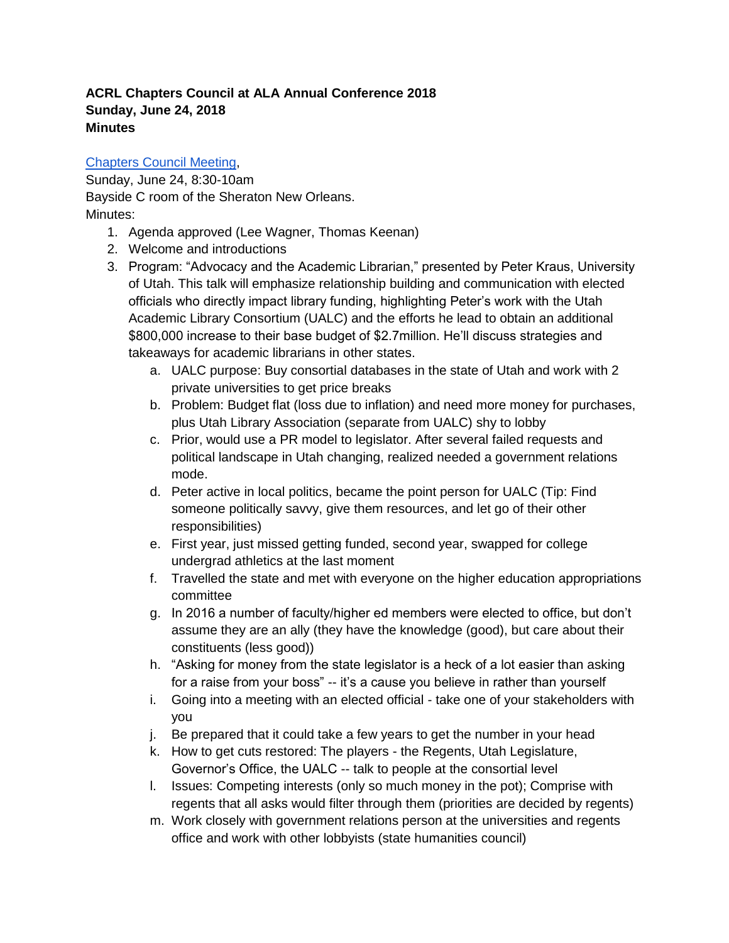## **ACRL Chapters Council at ALA Annual Conference 2018 Sunday, June 24, 2018 Minutes**

## [Chapters Council Meeting,](https://urldefense.proofpoint.com/v2/url?u=https-3A__www.eventscribe.com_2018_ALA-2DAnnual_fsPopup.asp-3FMode-3DpresInfo-26PresentationID-3D380391&d=DwMFAw&c=nE__W8dFE-shTxStwXtp0A&r=Tn1kMIQHO_5rIcsdLtk_BGlJgxy7bexONi-GCVuLo-g&m=9d_1kFIhTipUuxUBUzu6s-FrKH4SjYyKpN-473V1sj8&s=crwBE7Alz5xPqoKebyV6_f-NdPKyWpyJ_0CR2htW9J0&e=)

Sunday, June 24, 8:30-10am Bayside C room of the Sheraton New Orleans. Minutes:

- 1. Agenda approved (Lee Wagner, Thomas Keenan)
- 2. Welcome and introductions
- 3. Program: "Advocacy and the Academic Librarian," presented by Peter Kraus, University of Utah. This talk will emphasize relationship building and communication with elected officials who directly impact library funding, highlighting Peter's work with the Utah Academic Library Consortium (UALC) and the efforts he lead to obtain an additional \$800,000 increase to their base budget of \$2.7million. He'll discuss strategies and takeaways for academic librarians in other states.
	- a. UALC purpose: Buy consortial databases in the state of Utah and work with 2 private universities to get price breaks
	- b. Problem: Budget flat (loss due to inflation) and need more money for purchases, plus Utah Library Association (separate from UALC) shy to lobby
	- c. Prior, would use a PR model to legislator. After several failed requests and political landscape in Utah changing, realized needed a government relations mode.
	- d. Peter active in local politics, became the point person for UALC (Tip: Find someone politically savvy, give them resources, and let go of their other responsibilities)
	- e. First year, just missed getting funded, second year, swapped for college undergrad athletics at the last moment
	- f. Travelled the state and met with everyone on the higher education appropriations committee
	- g. In 2016 a number of faculty/higher ed members were elected to office, but don't assume they are an ally (they have the knowledge (good), but care about their constituents (less good))
	- h. "Asking for money from the state legislator is a heck of a lot easier than asking for a raise from your boss" -- it's a cause you believe in rather than yourself
	- i. Going into a meeting with an elected official take one of your stakeholders with you
	- j. Be prepared that it could take a few years to get the number in your head
	- k. How to get cuts restored: The players the Regents, Utah Legislature, Governor's Office, the UALC -- talk to people at the consortial level
	- l. Issues: Competing interests (only so much money in the pot); Comprise with regents that all asks would filter through them (priorities are decided by regents)
	- m. Work closely with government relations person at the universities and regents office and work with other lobbyists (state humanities council)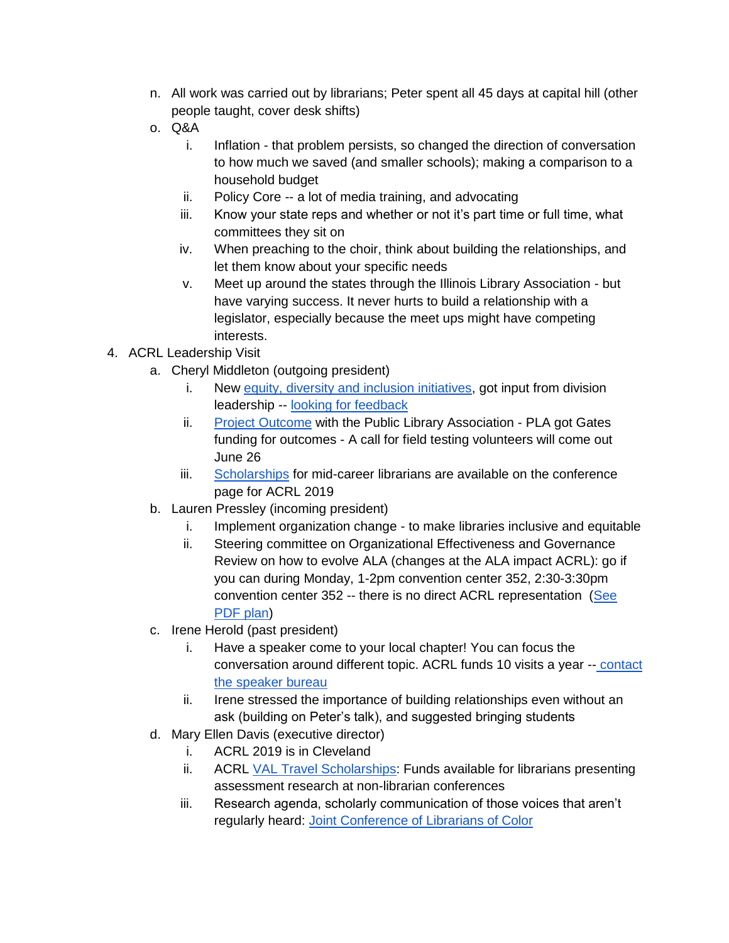- n. All work was carried out by librarians; Peter spent all 45 days at capital hill (other people taught, cover desk shifts)
- o. Q&A
	- i. Inflation that problem persists, so changed the direction of conversation to how much we saved (and smaller schools); making a comparison to a household budget
	- ii. Policy Core -- a lot of media training, and advocating
	- iii. Know your state reps and whether or not it's part time or full time, what committees they sit on
	- iv. When preaching to the choir, think about building the relationships, and let them know about your specific needs
	- v. Meet up around the states through the Illinois Library Association but have varying success. It never hurts to build a relationship with a legislator, especially because the meet ups might have competing interests.
- 4. ACRL Leadership Visit
	- a. Cheryl Middleton (outgoing president)
		- i. New [equity, diversity and inclusion initiatives,](https://www.acrl.ala.org/acrlinsider/archives/15380) got input from division leadership -- [looking for feedback](https://wpi.qualtrics.com/jfe/form/SV_cMauIw8qTFO9Zu5)
		- ii. [Project Outcome](http://www.ala.org/acrl/aboutacrl/directoryofleadership/taskforces/acr-tfpi) with the Public Library Association PLA got Gates funding for outcomes - A call for field testing volunteers will come out June 26
		- iii. [Scholarships](https://conference.acrl.org/scholarships/mid/) for mid-career librarians are available on the conference page for ACRL 2019
	- b. Lauren Pressley (incoming president)
		- i. Implement organization change to make libraries inclusive and equitable
		- ii. Steering committee on Organizational Effectiveness and Governance Review on how to evolve ALA (changes at the ALA impact ACRL): go if you can during Monday, 1-2pm convention center 352, 2:30-3:30pm convention center 352 -- there is no direct ACRL representation (See [PDF plan\)](http://www.ala.org/aboutala/sites/ala.org.aboutala/files/content/governance/council/council_documents/2018ac_council_docs/cd_35_1_Orgn_Effectivness_Plan_Rev_%20AC18.pdf)
	- c. Irene Herold (past president)
		- i. Have a speaker come to your local chapter! You can focus the conversation around different topic. ACRL funds 10 visits a year -- [contact](http://www.ala.org/acrl/aboutacrl/directoryofleadership/chapters/officersspeakers) [the speaker bureau](http://www.ala.org/acrl/aboutacrl/directoryofleadership/chapters/officersspeakers)
		- ii. Irene stressed the importance of building relationships even without an ask (building on Peter's talk), and suggested bringing students
	- d. Mary Ellen Davis (executive director)
		- i. ACRL 2019 is in Cleveland
		- ii. ACRL [VAL Travel Scholarships:](http://www.ala.org/acrl/awards/researchawards/valtravel) Funds available for librarians presenting assessment research at non-librarian conferences
		- iii. Research agenda, scholarly communication of those voices that aren't regularly heard: [Joint Conference of Librarians of Color](http://www.ala.org/aboutala/joint-conference-librarians-color)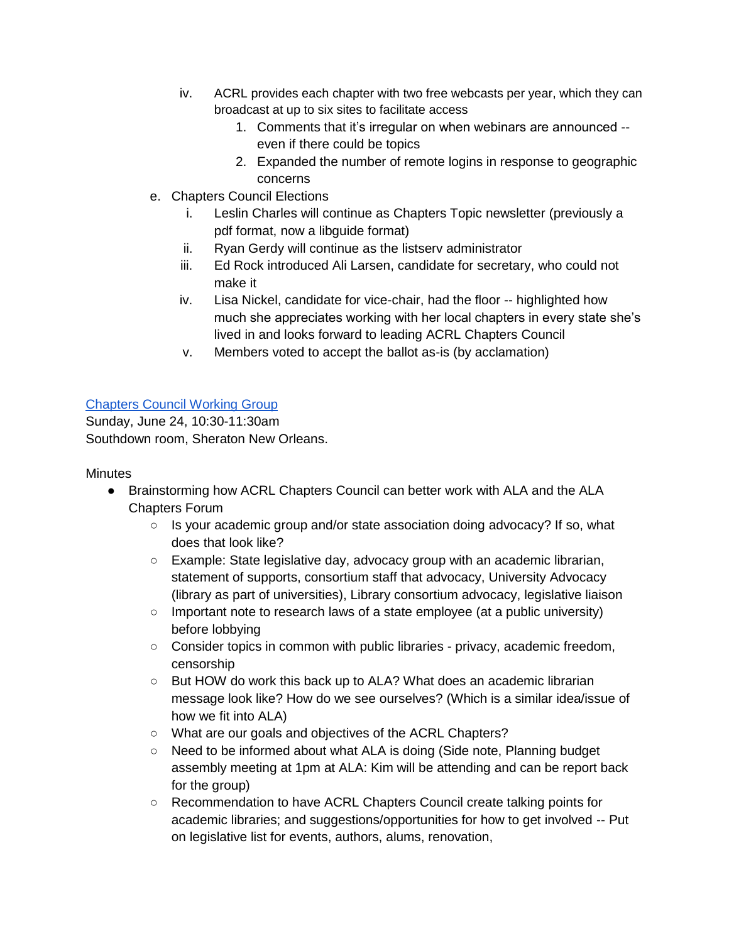- iv. ACRL provides each chapter with two free webcasts per year, which they can broadcast at up to six sites to facilitate access
	- 1. Comments that it's irregular on when webinars are announced even if there could be topics
	- 2. Expanded the number of remote logins in response to geographic concerns
- e. Chapters Council Elections
	- i. Leslin Charles will continue as Chapters Topic newsletter (previously a pdf format, now a libguide format)
	- ii. Ryan Gerdy will continue as the listserv administrator
	- iii. Ed Rock introduced Ali Larsen, candidate for secretary, who could not make it
	- iv. Lisa Nickel, candidate for vice-chair, had the floor -- highlighted how much she appreciates working with her local chapters in every state she's lived in and looks forward to leading ACRL Chapters Council
	- v. Members voted to accept the ballot as-is (by acclamation)

## [Chapters Council Working Group](https://www.eventscribe.com/2018/ALA-Annual/fsPopup.asp?Mode=presInfo&PresentationID=380392)

Sunday, June 24, 10:30-11:30am Southdown room, Sheraton New Orleans.

## **Minutes**

- Brainstorming how ACRL Chapters Council can better work with ALA and the ALA Chapters Forum
	- $\circ$  Is your academic group and/or state association doing advocacy? If so, what does that look like?
	- Example: State legislative day, advocacy group with an academic librarian, statement of supports, consortium staff that advocacy, University Advocacy (library as part of universities), Library consortium advocacy, legislative liaison
	- Important note to research laws of a state employee (at a public university) before lobbying
	- Consider topics in common with public libraries privacy, academic freedom, censorship
	- But HOW do work this back up to ALA? What does an academic librarian message look like? How do we see ourselves? (Which is a similar idea/issue of how we fit into ALA)
	- What are our goals and objectives of the ACRL Chapters?
	- Need to be informed about what ALA is doing (Side note, Planning budget assembly meeting at 1pm at ALA: Kim will be attending and can be report back for the group)
	- Recommendation to have ACRL Chapters Council create talking points for academic libraries; and suggestions/opportunities for how to get involved -- Put on legislative list for events, authors, alums, renovation,